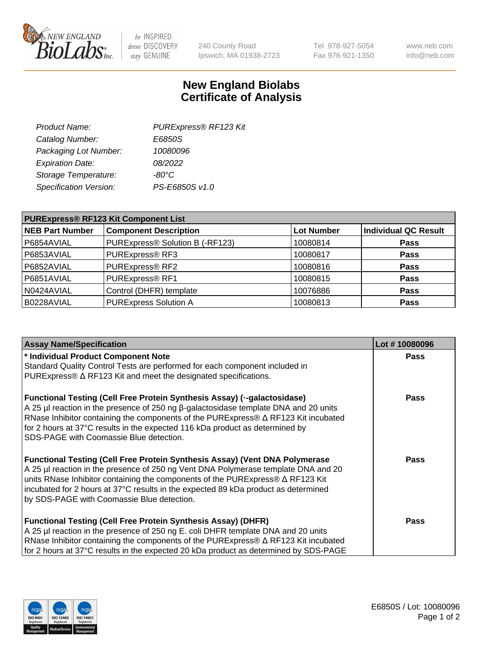

 $be$  INSPIRED drive DISCOVERY stay GENUINE

240 County Road Ipswich, MA 01938-2723 Tel 978-927-5054 Fax 978-921-1350 www.neb.com info@neb.com

## **New England Biolabs Certificate of Analysis**

| Product Name:           | PURExpress® RF123 Kit |
|-------------------------|-----------------------|
| Catalog Number:         | E6850S                |
| Packaging Lot Number:   | 10080096              |
| <b>Expiration Date:</b> | 08/2022               |
| Storage Temperature:    | $-80^{\circ}$ C       |
| Specification Version:  | PS-E6850S v1.0        |
|                         |                       |

| <b>PURExpress® RF123 Kit Component List</b> |                                 |                   |                             |  |
|---------------------------------------------|---------------------------------|-------------------|-----------------------------|--|
| <b>NEB Part Number</b>                      | <b>Component Description</b>    | <b>Lot Number</b> | <b>Individual QC Result</b> |  |
| P6854AVIAL                                  | PURExpress® Solution B (-RF123) | 10080814          | <b>Pass</b>                 |  |
| P6853AVIAL                                  | PURExpress® RF3                 | 10080817          | <b>Pass</b>                 |  |
| P6852AVIAL                                  | PURExpress® RF2                 | 10080816          | <b>Pass</b>                 |  |
| P6851AVIAL                                  | PURExpress® RF1                 | 10080815          | <b>Pass</b>                 |  |
| N0424AVIAL                                  | Control (DHFR) template         | 10076886          | <b>Pass</b>                 |  |
| B0228AVIAL                                  | <b>PURExpress Solution A</b>    | 10080813          | <b>Pass</b>                 |  |

| <b>Assay Name/Specification</b>                                                                                                                                                                                                                                                                                                                                                                       | Lot #10080096 |
|-------------------------------------------------------------------------------------------------------------------------------------------------------------------------------------------------------------------------------------------------------------------------------------------------------------------------------------------------------------------------------------------------------|---------------|
| * Individual Product Component Note                                                                                                                                                                                                                                                                                                                                                                   | <b>Pass</b>   |
| Standard Quality Control Tests are performed for each component included in                                                                                                                                                                                                                                                                                                                           |               |
| PURExpress® $\Delta$ RF123 Kit and meet the designated specifications.                                                                                                                                                                                                                                                                                                                                |               |
| <b>Functional Testing (Cell Free Protein Synthesis Assay) (--galactosidase)</b><br>A 25 μl reaction in the presence of 250 ng β-galactosidase template DNA and 20 units<br>RNase Inhibitor containing the components of the PURExpress® $\Delta$ RF123 Kit incubated<br>for 2 hours at 37°C results in the expected 116 kDa product as determined by<br>SDS-PAGE with Coomassie Blue detection.       | <b>Pass</b>   |
| <b>Functional Testing (Cell Free Protein Synthesis Assay) (Vent DNA Polymerase</b><br>A 25 µl reaction in the presence of 250 ng Vent DNA Polymerase template DNA and 20<br>units RNase Inhibitor containing the components of the PURExpress® $\Delta$ RF123 Kit<br>incubated for 2 hours at 37°C results in the expected 89 kDa product as determined<br>by SDS-PAGE with Coomassie Blue detection. | <b>Pass</b>   |
| <b>Functional Testing (Cell Free Protein Synthesis Assay) (DHFR)</b><br>A 25 µl reaction in the presence of 250 ng E. coli DHFR template DNA and 20 units<br>RNase Inhibitor containing the components of the PURExpress® $\Delta$ RF123 Kit incubated<br>for 2 hours at 37°C results in the expected 20 kDa product as determined by SDS-PAGE                                                        | Pass          |